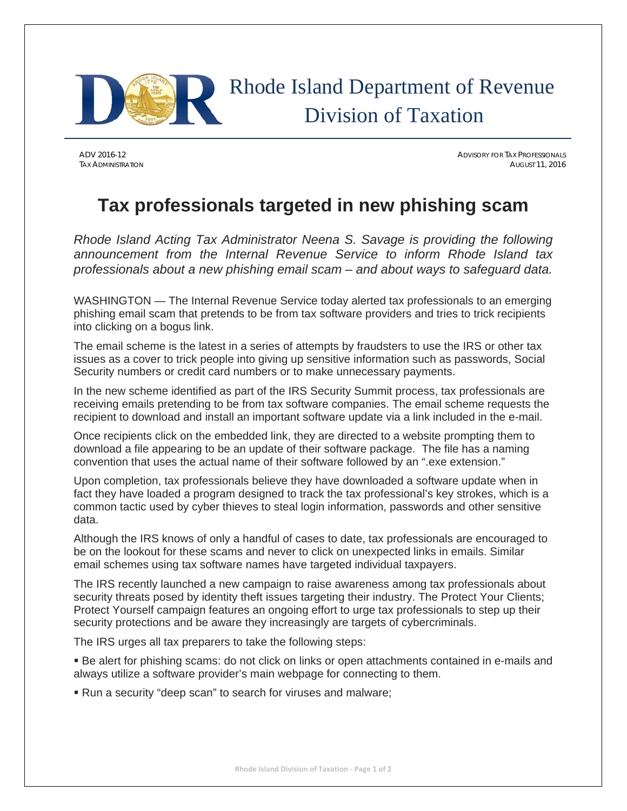

ADV 2016-12 ADVISORY FOR TAX PROFESSIONALS TAX ADMINISTRATION AUGUST 11, 2016

## **Tax professionals targeted in new phishing scam**

*Rhode Island Acting Tax Administrator Neena S. Savage is providing the following announcement from the Internal Revenue Service to inform Rhode Island tax professionals about a new phishing email scam – and about ways to safeguard data.* 

WASHINGTON — The Internal Revenue Service today alerted tax professionals to an emerging phishing email scam that pretends to be from tax software providers and tries to trick recipients into clicking on a bogus link.

The email scheme is the latest in a series of attempts by fraudsters to use the IRS or other tax issues as a cover to trick people into giving up sensitive information such as passwords, Social Security numbers or credit card numbers or to make unnecessary payments.

In the new scheme identified as part of the IRS Security Summit process, tax professionals are receiving emails pretending to be from tax software companies. The email scheme requests the recipient to download and install an important software update via a link included in the e-mail.

Once recipients click on the embedded link, they are directed to a website prompting them to download a file appearing to be an update of their software package. The file has a naming convention that uses the actual name of their software followed by an ".exe extension."

Upon completion, tax professionals believe they have downloaded a software update when in fact they have loaded a program designed to track the tax professional's key strokes, which is a common tactic used by cyber thieves to steal login information, passwords and other sensitive data.

Although the IRS knows of only a handful of cases to date, tax professionals are encouraged to be on the lookout for these scams and never to click on unexpected links in emails. Similar email schemes using tax software names have targeted individual taxpayers.

The IRS recently launched a new campaign to raise awareness among tax professionals about security threats posed by identity theft issues targeting their industry. The Protect Your Clients; Protect Yourself campaign features an ongoing effort to urge tax professionals to step up their security protections and be aware they increasingly are targets of cybercriminals.

The IRS urges all tax preparers to take the following steps:

 Be alert for phishing scams: do not click on links or open attachments contained in e-mails and always utilize a software provider's main webpage for connecting to them.

Run a security "deep scan" to search for viruses and malware;